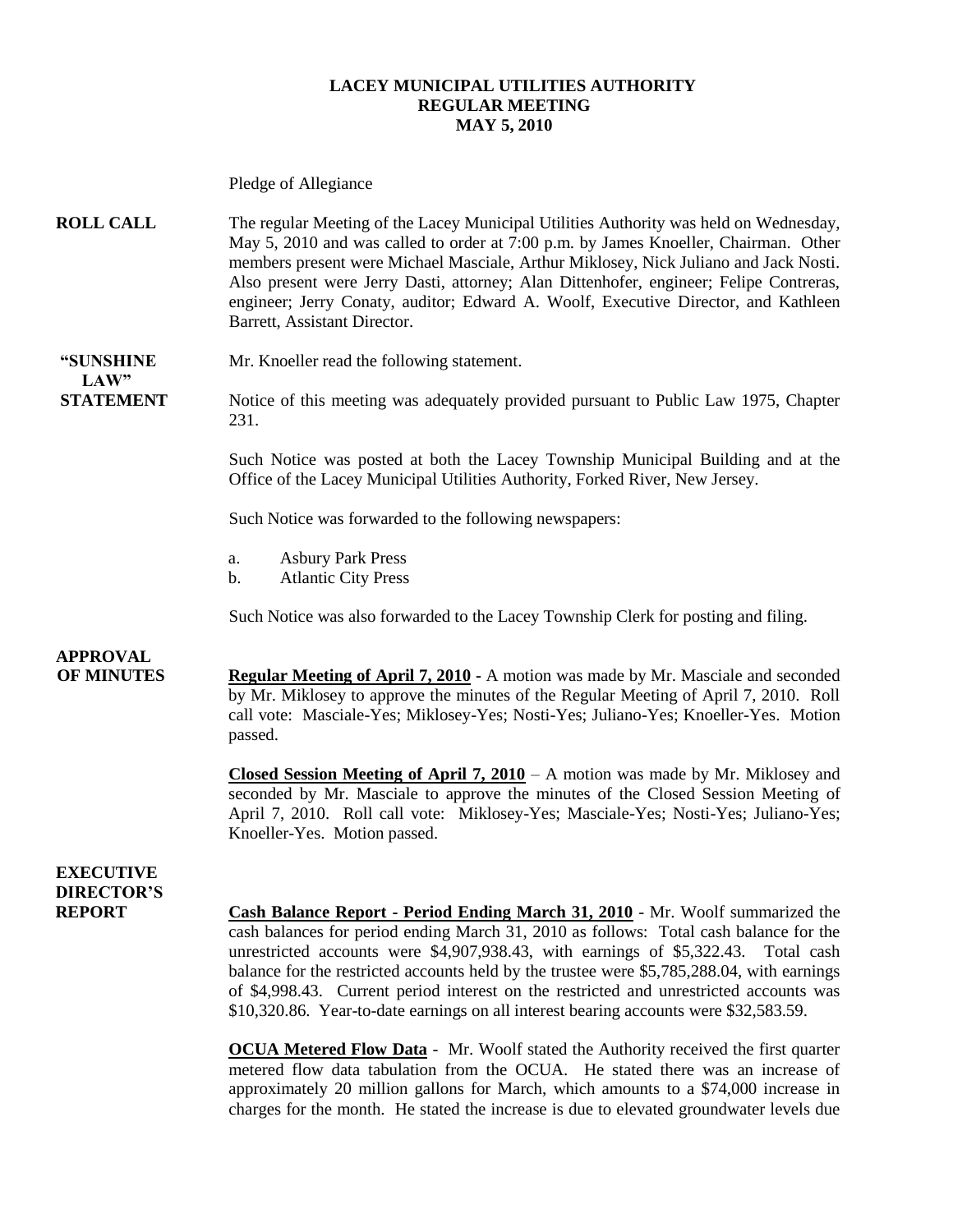#### **LACEY MUNICIPAL UTILITIES AUTHORITY REGULAR MEETING MAY 5, 2010**

Pledge of Allegiance

**ROLL CALL** The regular Meeting of the Lacey Municipal Utilities Authority was held on Wednesday, May 5, 2010 and was called to order at 7:00 p.m. by James Knoeller, Chairman. Other members present were Michael Masciale, Arthur Miklosey, Nick Juliano and Jack Nosti. Also present were Jerry Dasti, attorney; Alan Dittenhofer, engineer; Felipe Contreras, engineer; Jerry Conaty, auditor; Edward A. Woolf, Executive Director, and Kathleen Barrett, Assistant Director.

# **LAW"**

**"SUNSHINE** Mr. Knoeller read the following statement.

**STATEMENT** Notice of this meeting was adequately provided pursuant to Public Law 1975, Chapter 231.

> Such Notice was posted at both the Lacey Township Municipal Building and at the Office of the Lacey Municipal Utilities Authority, Forked River, New Jersey.

Such Notice was forwarded to the following newspapers:

- a. Asbury Park Press
- b. Atlantic City Press

Such Notice was also forwarded to the Lacey Township Clerk for posting and filing.

### **APPROVAL**

**OF MINUTES Regular Meeting of April 7, 2010 -** A motion was made by Mr. Masciale and seconded by Mr. Miklosey to approve the minutes of the Regular Meeting of April 7, 2010. Roll call vote: Masciale-Yes; Miklosey-Yes; Nosti-Yes; Juliano-Yes; Knoeller-Yes. Motion passed.

> **Closed Session Meeting of April 7, 2010** – A motion was made by Mr. Miklosey and seconded by Mr. Masciale to approve the minutes of the Closed Session Meeting of April 7, 2010. Roll call vote: Miklosey-Yes; Masciale-Yes; Nosti-Yes; Juliano-Yes; Knoeller-Yes. Motion passed.

### **EXECUTIVE DIRECTOR'S**

**REPORT Cash Balance Report - Period Ending March 31, 2010** - Mr. Woolf summarized the cash balances for period ending March 31, 2010 as follows: Total cash balance for the unrestricted accounts were \$4,907,938.43, with earnings of \$5,322.43. Total cash balance for the restricted accounts held by the trustee were \$5,785,288.04, with earnings of \$4,998.43. Current period interest on the restricted and unrestricted accounts was \$10,320.86. Year-to-date earnings on all interest bearing accounts were \$32,583.59.

> **OCUA Metered Flow Data** - Mr. Woolf stated the Authority received the first quarter metered flow data tabulation from the OCUA. He stated there was an increase of approximately 20 million gallons for March, which amounts to a \$74,000 increase in charges for the month. He stated the increase is due to elevated groundwater levels due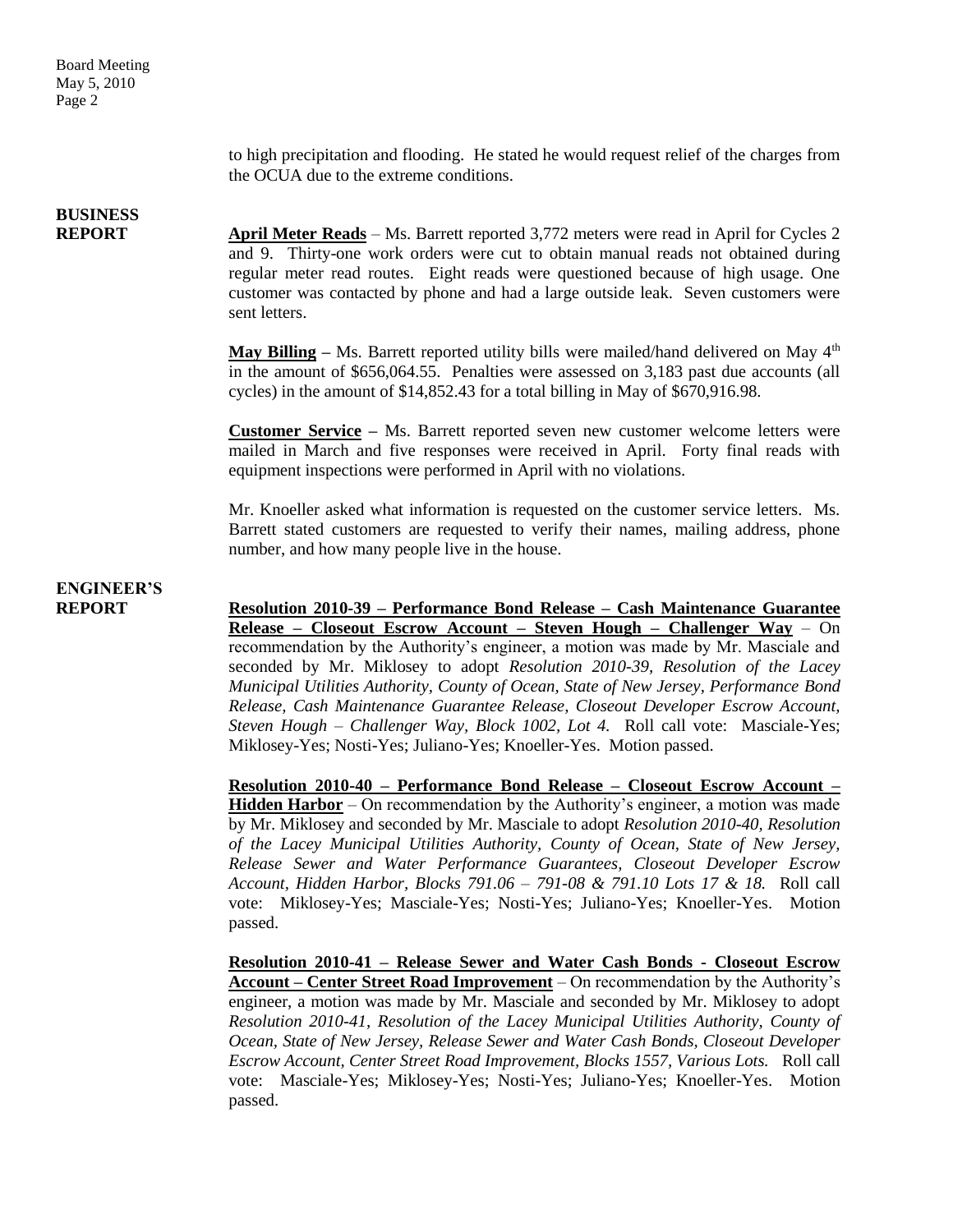to high precipitation and flooding. He stated he would request relief of the charges from the OCUA due to the extreme conditions.

### **BUSINESS**

**REPORT April Meter Reads** – Ms. Barrett reported 3,772 meters were read in April for Cycles 2 and 9. Thirty-one work orders were cut to obtain manual reads not obtained during regular meter read routes. Eight reads were questioned because of high usage. One customer was contacted by phone and had a large outside leak. Seven customers were sent letters.

> **May Billing** – Ms. Barrett reported utility bills were mailed/hand delivered on May 4<sup>th</sup> in the amount of \$656,064.55. Penalties were assessed on 3,183 past due accounts (all cycles) in the amount of \$14,852.43 for a total billing in May of \$670,916.98.

> **Customer Service –** Ms. Barrett reported seven new customer welcome letters were mailed in March and five responses were received in April. Forty final reads with equipment inspections were performed in April with no violations.

> Mr. Knoeller asked what information is requested on the customer service letters. Ms. Barrett stated customers are requested to verify their names, mailing address, phone number, and how many people live in the house.

### **ENGINEER'S**

**REPORT Resolution 2010-39 – Performance Bond Release – Cash Maintenance Guarantee Release – Closeout Escrow Account – Steven Hough – Challenger Way** – On recommendation by the Authority's engineer, a motion was made by Mr. Masciale and seconded by Mr. Miklosey to adopt *Resolution 2010-39, Resolution of the Lacey Municipal Utilities Authority, County of Ocean, State of New Jersey, Performance Bond Release, Cash Maintenance Guarantee Release, Closeout Developer Escrow Account, Steven Hough – Challenger Way, Block 1002, Lot 4.* Roll call vote: Masciale-Yes; Miklosey-Yes; Nosti-Yes; Juliano-Yes; Knoeller-Yes. Motion passed.

> **Resolution 2010-40 – Performance Bond Release – Closeout Escrow Account – Hidden Harbor** – On recommendation by the Authority's engineer, a motion was made by Mr. Miklosey and seconded by Mr. Masciale to adopt *Resolution 2010-40, Resolution of the Lacey Municipal Utilities Authority, County of Ocean, State of New Jersey, Release Sewer and Water Performance Guarantees, Closeout Developer Escrow Account, Hidden Harbor, Blocks 791.06 – 791-08 & 791.10 Lots 17 & 18.* Roll call vote: Miklosey-Yes; Masciale-Yes; Nosti-Yes; Juliano-Yes; Knoeller-Yes. Motion passed.

> **Resolution 2010-41 – Release Sewer and Water Cash Bonds - Closeout Escrow Account – Center Street Road Improvement** – On recommendation by the Authority's engineer, a motion was made by Mr. Masciale and seconded by Mr. Miklosey to adopt *Resolution 2010-41, Resolution of the Lacey Municipal Utilities Authority, County of Ocean, State of New Jersey, Release Sewer and Water Cash Bonds, Closeout Developer Escrow Account, Center Street Road Improvement, Blocks 1557, Various Lots.* Roll call vote: Masciale-Yes; Miklosey-Yes; Nosti-Yes; Juliano-Yes; Knoeller-Yes. Motion passed.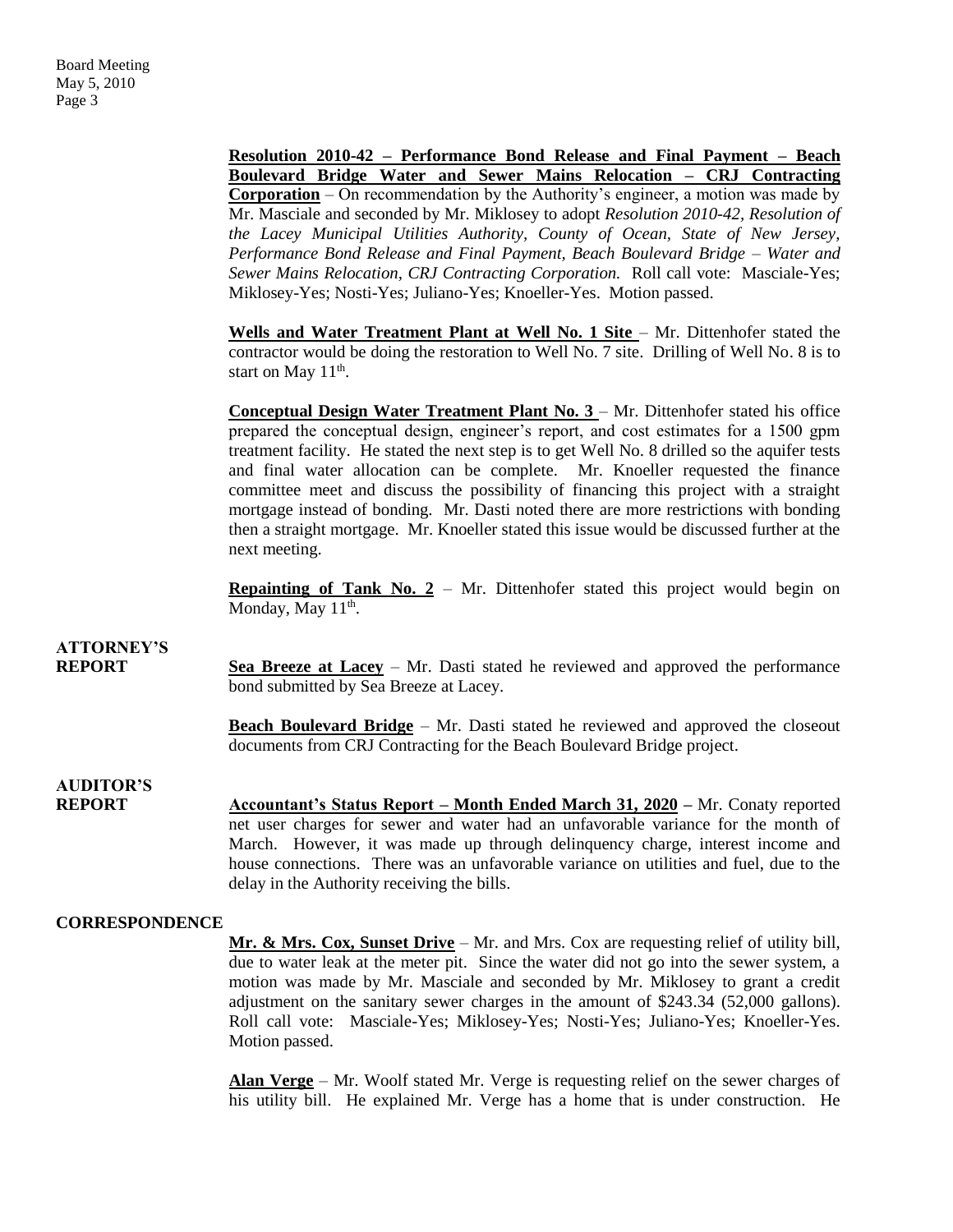**Resolution 2010-42 – Performance Bond Release and Final Payment – Beach Boulevard Bridge Water and Sewer Mains Relocation – CRJ Contracting Corporation** – On recommendation by the Authority's engineer, a motion was made by Mr. Masciale and seconded by Mr. Miklosey to adopt *Resolution 2010-42, Resolution of the Lacey Municipal Utilities Authority, County of Ocean, State of New Jersey, Performance Bond Release and Final Payment, Beach Boulevard Bridge – Water and Sewer Mains Relocation, CRJ Contracting Corporation.* Roll call vote: Masciale-Yes; Miklosey-Yes; Nosti-Yes; Juliano-Yes; Knoeller-Yes. Motion passed.

Wells and Water Treatment Plant at Well No. 1 Site - Mr. Dittenhofer stated the contractor would be doing the restoration to Well No. 7 site. Drilling of Well No. 8 is to start on May  $11<sup>th</sup>$ .

**Conceptual Design Water Treatment Plant No. 3** – Mr. Dittenhofer stated his office prepared the conceptual design, engineer's report, and cost estimates for a 1500 gpm treatment facility. He stated the next step is to get Well No. 8 drilled so the aquifer tests and final water allocation can be complete. Mr. Knoeller requested the finance committee meet and discuss the possibility of financing this project with a straight mortgage instead of bonding. Mr. Dasti noted there are more restrictions with bonding then a straight mortgage. Mr. Knoeller stated this issue would be discussed further at the next meeting.

**Repainting of Tank No. 2** – Mr. Dittenhofer stated this project would begin on Monday, May  $11<sup>th</sup>$ .

## **ATTORNEY'S**

**REPORT Sea Breeze at Lacey** – Mr. Dasti stated he reviewed and approved the performance bond submitted by Sea Breeze at Lacey.

> **Beach Boulevard Bridge** – Mr. Dasti stated he reviewed and approved the closeout documents from CRJ Contracting for the Beach Boulevard Bridge project.

### **AUDITOR'S**

**REPORT Accountant's Status Report – Month Ended March 31, 2020 –** Mr. Conaty reported net user charges for sewer and water had an unfavorable variance for the month of March. However, it was made up through delinquency charge, interest income and house connections. There was an unfavorable variance on utilities and fuel, due to the delay in the Authority receiving the bills.

#### **CORRESPONDENCE**

**Mr. & Mrs. Cox, Sunset Drive** – Mr. and Mrs. Cox are requesting relief of utility bill, due to water leak at the meter pit. Since the water did not go into the sewer system, a motion was made by Mr. Masciale and seconded by Mr. Miklosey to grant a credit adjustment on the sanitary sewer charges in the amount of \$243.34 (52,000 gallons). Roll call vote: Masciale-Yes; Miklosey-Yes; Nosti-Yes; Juliano-Yes; Knoeller-Yes. Motion passed.

**Alan Verge** – Mr. Woolf stated Mr. Verge is requesting relief on the sewer charges of his utility bill. He explained Mr. Verge has a home that is under construction. He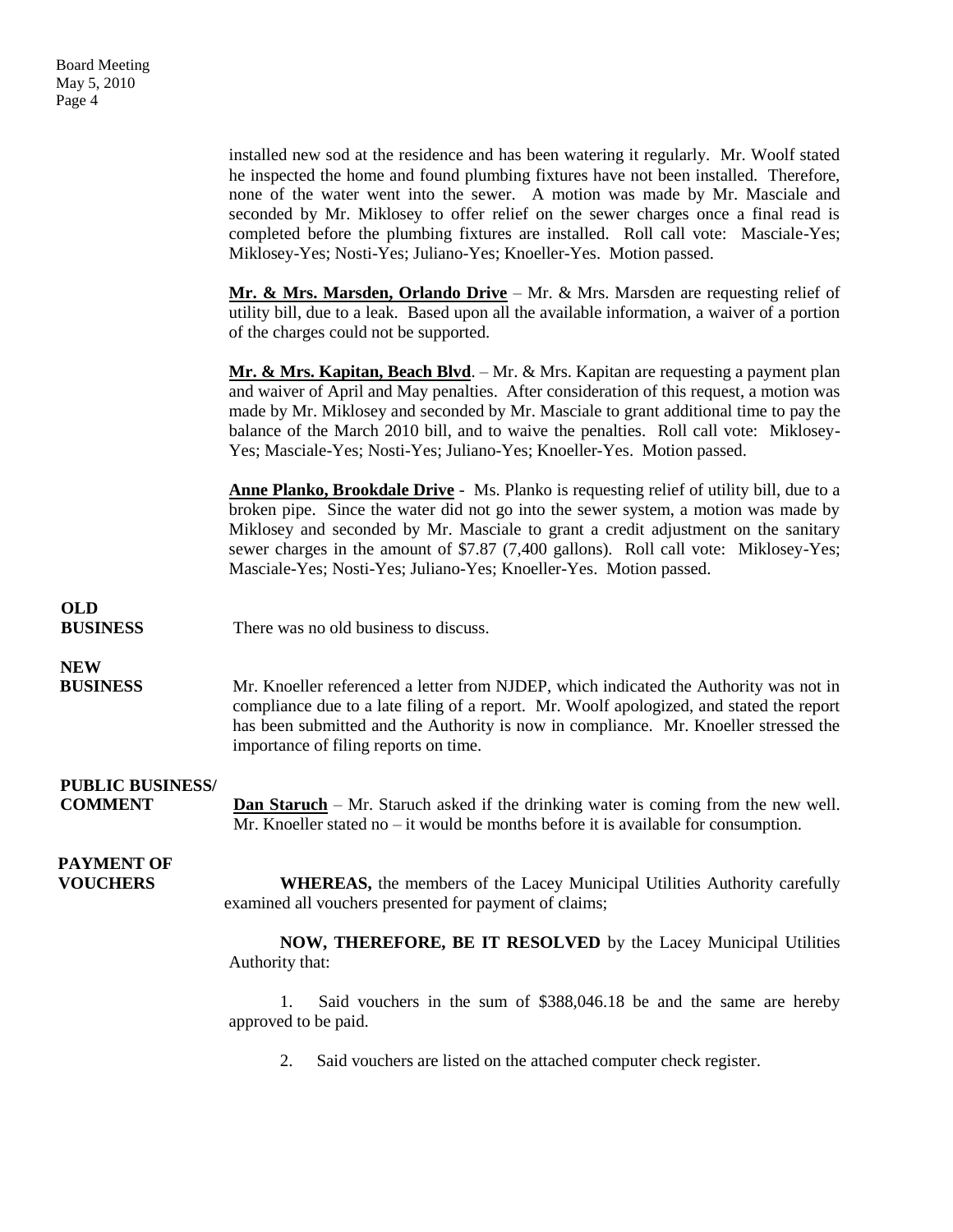installed new sod at the residence and has been watering it regularly. Mr. Woolf stated he inspected the home and found plumbing fixtures have not been installed. Therefore, none of the water went into the sewer. A motion was made by Mr. Masciale and seconded by Mr. Miklosey to offer relief on the sewer charges once a final read is completed before the plumbing fixtures are installed. Roll call vote: Masciale-Yes; Miklosey-Yes; Nosti-Yes; Juliano-Yes; Knoeller-Yes. Motion passed. **Mr. & Mrs. Marsden, Orlando Drive** – Mr. & Mrs. Marsden are requesting relief of utility bill, due to a leak. Based upon all the available information, a waiver of a portion of the charges could not be supported. **Mr. & Mrs. Kapitan, Beach Blvd**. – Mr. & Mrs. Kapitan are requesting a payment plan and waiver of April and May penalties. After consideration of this request, a motion was made by Mr. Miklosey and seconded by Mr. Masciale to grant additional time to pay the balance of the March 2010 bill, and to waive the penalties. Roll call vote: Miklosey-Yes; Masciale-Yes; Nosti-Yes; Juliano-Yes; Knoeller-Yes. Motion passed. **Anne Planko, Brookdale Drive** - Ms. Planko is requesting relief of utility bill, due to a broken pipe. Since the water did not go into the sewer system, a motion was made by Miklosey and seconded by Mr. Masciale to grant a credit adjustment on the sanitary sewer charges in the amount of \$7.87 (7.400 gallons). Roll call vote: Miklosey-Yes; Masciale-Yes; Nosti-Yes; Juliano-Yes; Knoeller-Yes. Motion passed. **OLD BUSINESS** There was no old business to discuss. **NEW BUSINESS** Mr. Knoeller referenced a letter from NJDEP, which indicated the Authority was not in compliance due to a late filing of a report. Mr. Woolf apologized, and stated the report has been submitted and the Authority is now in compliance. Mr. Knoeller stressed the importance of filing reports on time. **PUBLIC BUSINESS/ COMMENT Dan Staruch** – Mr. Staruch asked if the drinking water is coming from the new well. Mr. Knoeller stated no – it would be months before it is available for consumption.  **PAYMENT OF VOUCHERS** WHEREAS, the members of the Lacey Municipal Utilities Authority carefully examined all vouchers presented for payment of claims; **NOW, THEREFORE, BE IT RESOLVED** by the Lacey Municipal Utilities Authority that: 1. Said vouchers in the sum of \$388,046.18 be and the same are hereby approved to be paid.

2. Said vouchers are listed on the attached computer check register.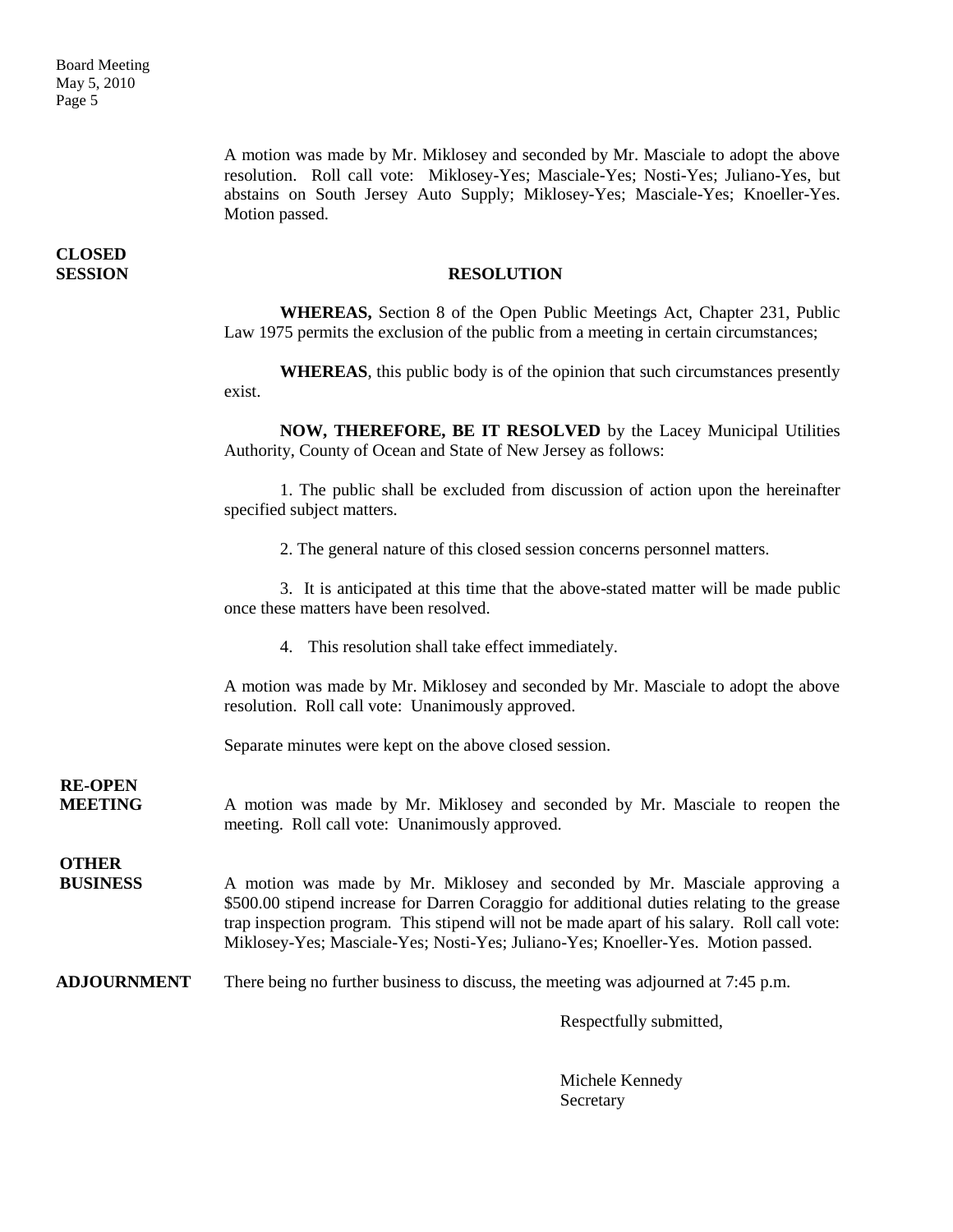A motion was made by Mr. Miklosey and seconded by Mr. Masciale to adopt the above resolution. Roll call vote: Miklosey-Yes; Masciale-Yes; Nosti-Yes; Juliano-Yes, but abstains on South Jersey Auto Supply; Miklosey-Yes; Masciale-Yes; Knoeller-Yes. Motion passed.

#### **SESSION RESOLUTION**

**WHEREAS,** Section 8 of the Open Public Meetings Act, Chapter 231, Public Law 1975 permits the exclusion of the public from a meeting in certain circumstances;

**WHEREAS**, this public body is of the opinion that such circumstances presently exist.

**NOW, THEREFORE, BE IT RESOLVED** by the Lacey Municipal Utilities Authority, County of Ocean and State of New Jersey as follows:

1. The public shall be excluded from discussion of action upon the hereinafter specified subject matters.

2. The general nature of this closed session concerns personnel matters.

3. It is anticipated at this time that the above-stated matter will be made public once these matters have been resolved.

4. This resolution shall take effect immediately.

A motion was made by Mr. Miklosey and seconded by Mr. Masciale to adopt the above resolution. Roll call vote: Unanimously approved.

Separate minutes were kept on the above closed session.

**RE-OPEN**

**MEETING** A motion was made by Mr. Miklosey and seconded by Mr. Masciale to reopen the meeting. Roll call vote: Unanimously approved.

### **OTHER**

**BUSINESS** A motion was made by Mr. Miklosey and seconded by Mr. Masciale approving a \$500.00 stipend increase for Darren Coraggio for additional duties relating to the grease trap inspection program. This stipend will not be made apart of his salary. Roll call vote: Miklosey-Yes; Masciale-Yes; Nosti-Yes; Juliano-Yes; Knoeller-Yes. Motion passed.

**ADJOURNMENT** There being no further business to discuss, the meeting was adjourned at 7:45 p.m.

Respectfully submitted,

Michele Kennedy Secretary

**CLOSED**